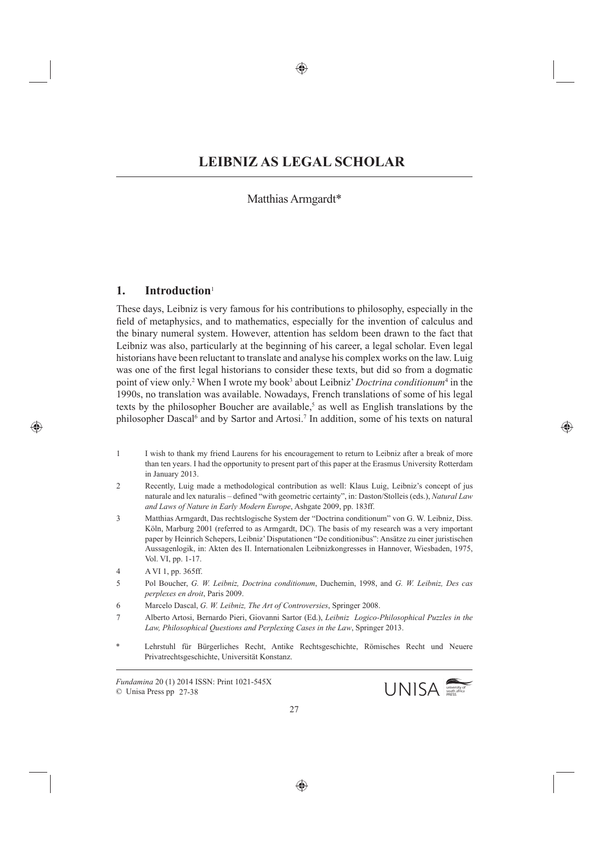# Matthias Armgardt\*

## **1. Introduction**<sup>1</sup>

These days, Leibniz is very famous for his contributions to philosophy, especially in the field of metaphysics, and to mathematics, especially for the invention of calculus and the binary numeral system. However, attention has seldom been drawn to the fact that Leibniz was also, particularly at the beginning of his career, a legal scholar. Even legal historians have been reluctant to translate and analyse his complex works on the law. Luig was one of the first legal historians to consider these texts, but did so from a dogmatic point of view only.<sup>2</sup> When I wrote my book<sup>3</sup> about Leibniz' *Doctrina conditionum*<sup>4</sup> in the 1990s, no translation was available. Nowadays, French translations of some of his legal texts by the philosopher Boucher are available,<sup>5</sup> as well as English translations by the philosopher Dascal<sup>6</sup> and by Sartor and Artosi.<sup>7</sup> In addition, some of his texts on natural

- 1 I wish to thank my friend Laurens for his encouragement to return to Leibniz after a break of more than ten years. I had the opportunity to present part of this paper at the Erasmus University Rotterdam in January 2013.
- 2 Recently, Luig made a methodological contribution as well: Klaus Luig, Leibniz's concept of jus naturale and lex naturalis – defined "with geometric certainty", in: Daston/Stolleis (eds.), *Natural Law and Laws of Nature in Early Modern Europe*, Ashgate 2009, pp. 183ff.
- 3 Matthias Armgardt, Das rechtslogische System der "Doctrina conditionum" von G. W. Leibniz, Diss. Köln, Marburg 2001 (referred to as Armgardt, DC). The basis of my research was a very important paper by Heinrich Schepers, Leibniz' Disputationen "De conditionibus": Ansätze zu einer juristischen Aussagenlogik, in: Akten des II. Internationalen Leibnizkongresses in Hannover, Wiesbaden, 1975, Vol. VI, pp. 1-17.
- 4 A VI 1, pp. 365ff.
- 5 Pol Boucher, *G. W. Leibniz, Doctrina conditionum*, Duchemin, 1998, and *G. W. Leibniz, Des cas perplexes en droit*, Paris 2009.
- 6 Marcelo Dascal, *G. W. Leibniz, The Art of Controversies*, Springer 2008.
- 7 Alberto Artosi, Bernardo Pieri, Giovanni Sartor (Ed.), *Leibniz Logico-Philosophical Puzzles in the Law, Philosophical Questions and Perplexing Cases in the Law*, Springer 2013.
- Lehrstuhl für Bürgerliches Recht, Antike Rechtsgeschichte, Römisches Recht und Neuere Privatrechtsgeschichte, Universität Konstanz.

*Fundamina* 20 (1) 2014 ISSN: Print 1021-545X © Unisa Press pp 27-38

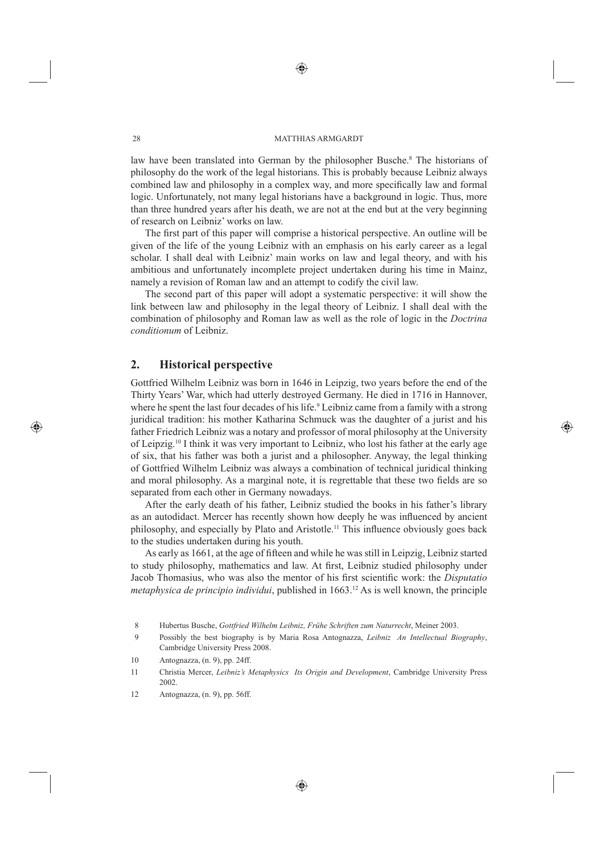#### 28 MATTHIAS ARMGARDT

law have been translated into German by the philosopher Busche.<sup>8</sup> The historians of philosophy do the work of the legal historians. This is probably because Leibniz always combined law and philosophy in a complex way, and more specifically law and formal logic. Unfortunately, not many legal historians have a background in logic. Thus, more than three hundred years after his death, we are not at the end but at the very beginning of research on Leibniz' works on law.

The first part of this paper will comprise a historical perspective. An outline will be given of the life of the young Leibniz with an emphasis on his early career as a legal scholar. I shall deal with Leibniz' main works on law and legal theory, and with his ambitious and unfortunately incomplete project undertaken during his time in Mainz, namely a revision of Roman law and an attempt to codify the civil law.

The second part of this paper will adopt a systematic perspective: it will show the link between law and philosophy in the legal theory of Leibniz. I shall deal with the combination of philosophy and Roman law as well as the role of logic in the *Doctrina conditionum* of Leibniz.

### **2. Historical perspective**

Gottfried Wilhelm Leibniz was born in 1646 in Leipzig, two years before the end of the Thirty Years' War, which had utterly destroyed Germany. He died in 1716 in Hannover, where he spent the last four decades of his life.<sup>9</sup> Leibniz came from a family with a strong juridical tradition: his mother Katharina Schmuck was the daughter of a jurist and his father Friedrich Leibniz was a notary and professor of moral philosophy at the University of Leipzig.10 I think it was very important to Leibniz, who lost his father at the early age of six, that his father was both a jurist and a philosopher. Anyway, the legal thinking of Gottfried Wilhelm Leibniz was always a combination of technical juridical thinking and moral philosophy. As a marginal note, it is regrettable that these two fields are so separated from each other in Germany nowadays.

After the early death of his father, Leibniz studied the books in his father's library as an autodidact. Mercer has recently shown how deeply he was influenced by ancient philosophy, and especially by Plato and Aristotle.<sup>11</sup> This influence obviously goes back to the studies undertaken during his youth.

As early as 1661, at the age of fifteen and while he was still in Leipzig, Leibniz started to study philosophy, mathematics and law. At first, Leibniz studied philosophy under Jacob Thomasius, who was also the mentor of his first scientific work: the *Disputatio metaphysica de principio individui*, published in 1663.12 As is well known, the principle

- 9 Possibly the best biography is by Maria Rosa Antognazza, *Leibniz An Intellectual Biography*, Cambridge University Press 2008.
- 10 Antognazza, (n. 9), pp. 24ff.
- 11 Christia Mercer, *Leibniz's Metaphysics Its Origin and Development*, Cambridge University Press 2002.
- 12 Antognazza, (n. 9), pp. 56ff.

 <sup>8</sup> Hubertus Busche, *Gottfried Wilhelm Leibniz, Frühe Schriften zum Naturrecht*, Meiner 2003.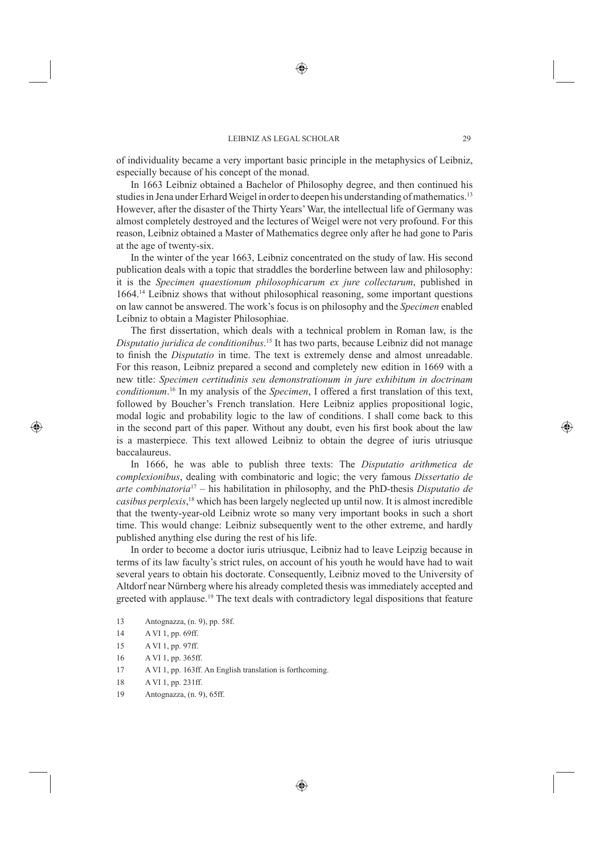of individuality became a very important basic principle in the metaphysics of Leibniz, especially because of his concept of the monad.

In 1663 Leibniz obtained a Bachelor of Philosophy degree, and then continued his studies in Jena under Erhard Weigel in order to deepen his understanding of mathematics.13 However, after the disaster of the Thirty Years' War, the intellectual life of Germany was almost completely destroyed and the lectures of Weigel were not very profound. For this reason, Leibniz obtained a Master of Mathematics degree only after he had gone to Paris at the age of twenty-six.

In the winter of the year 1663, Leibniz concentrated on the study of law. His second publication deals with a topic that straddles the borderline between law and philosophy: it is the *Specimen quaestionum philosophicarum ex jure collectarum*, published in 1664.14 Leibniz shows that without philosophical reasoning, some important questions on law cannot be answered. The work's focus is on philosophy and the *Specimen* enabled Leibniz to obtain a Magister Philosophiae.

The first dissertation, which deals with a technical problem in Roman law, is the *Disputatio juridica de conditionibus*. 15 It has two parts, because Leibniz did not manage to finish the *Disputatio* in time. The text is extremely dense and almost unreadable. For this reason, Leibniz prepared a second and completely new edition in 1669 with a new title: *Specimen certitudinis seu demonstrationum in jure exhibitum in doctrinam conditionum*.<sup>16</sup> In my analysis of the *Specimen*, I offered a first translation of this text, followed by Boucher's French translation. Here Leibniz applies propositional logic, modal logic and probability logic to the law of conditions. I shall come back to this in the second part of this paper. Without any doubt, even his first book about the law is a masterpiece. This text allowed Leibniz to obtain the degree of iuris utriusque baccalaureus.

In 1666, he was able to publish three texts: The *Disputatio arithmetica de complexionibus*, dealing with combinatoric and logic; the very famous *Dissertatio de arte combinatoria*17 – his habilitation in philosophy, and the PhD-thesis *Disputatio de casibus perplexis*, 18 which has been largely neglected up until now. It is almost incredible that the twenty-year-old Leibniz wrote so many very important books in such a short time. This would change: Leibniz subsequently went to the other extreme, and hardly published anything else during the rest of his life.

In order to become a doctor iuris utriusque, Leibniz had to leave Leipzig because in terms of its law faculty's strict rules, on account of his youth he would have had to wait several years to obtain his doctorate. Consequently, Leibniz moved to the University of Altdorf near Nürnberg where his already completed thesis was immediately accepted and greeted with applause.<sup>19</sup> The text deals with contradictory legal dispositions that feature

- 13 Antognazza, (n. 9), pp. 58f.
- 14 A VI 1, pp. 69ff.
- 15 A VI 1, pp. 97ff.
- 16 A VI 1, pp. 365ff.
- 17 A VI 1, pp. 163ff. An English translation is forthcoming.
- 18 A VI 1, pp. 231ff.
- 19 Antognazza, (n. 9), 65ff.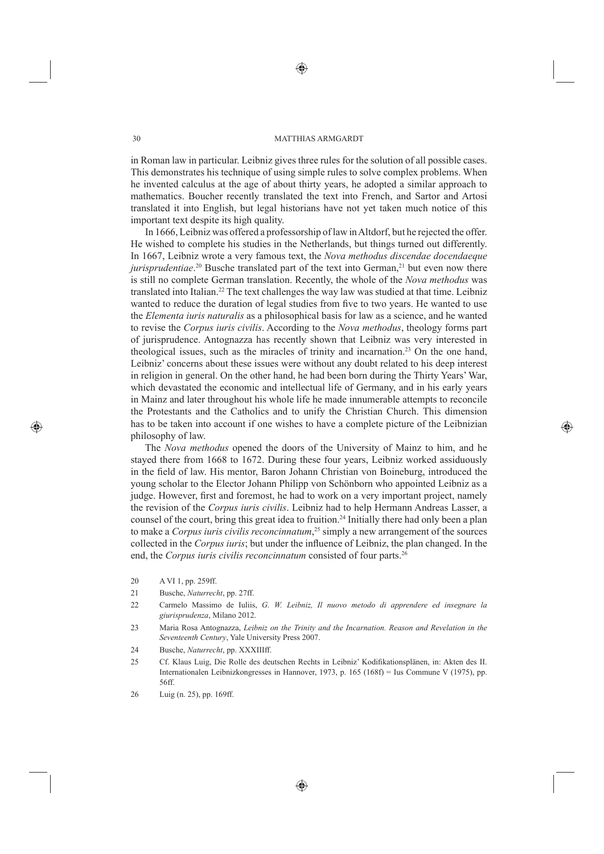#### 30 MATTHIAS ARMGARDT

in Roman law in particular. Leibniz gives three rules for the solution of all possible cases. This demonstrates his technique of using simple rules to solve complex problems. When he invented calculus at the age of about thirty years, he adopted a similar approach to mathematics. Boucher recently translated the text into French, and Sartor and Artosi translated it into English, but legal historians have not yet taken much notice of this important text despite its high quality.

In 1666, Leibniz was offered a professorship of law in Altdorf, but he rejected the offer. He wished to complete his studies in the Netherlands, but things turned out differently. In 1667, Leibniz wrote a very famous text, the *Nova methodus discendae docendaeque jurisprudentiae*.<sup>20</sup> Busche translated part of the text into German,<sup>21</sup> but even now there is still no complete German translation. Recently, the whole of the *Nova methodus* was translated into Italian.<sup>22</sup> The text challenges the way law was studied at that time. Leibniz wanted to reduce the duration of legal studies from five to two years. He wanted to use the *Elementa iuris naturalis* as a philosophical basis for law as a science, and he wanted to revise the *Corpus iuris civilis*. According to the *Nova methodus*, theology forms part of jurisprudence. Antognazza has recently shown that Leibniz was very interested in theological issues, such as the miracles of trinity and incarnation.23 On the one hand, Leibniz' concerns about these issues were without any doubt related to his deep interest in religion in general. On the other hand, he had been born during the Thirty Years' War, which devastated the economic and intellectual life of Germany, and in his early years in Mainz and later throughout his whole life he made innumerable attempts to reconcile the Protestants and the Catholics and to unify the Christian Church. This dimension has to be taken into account if one wishes to have a complete picture of the Leibnizian philosophy of law.

The *Nova methodus* opened the doors of the University of Mainz to him, and he stayed there from 1668 to 1672. During these four years, Leibniz worked assiduously in the field of law. His mentor, Baron Johann Christian von Boineburg, introduced the young scholar to the Elector Johann Philipp von Schönborn who appointed Leibniz as a judge. However, first and foremost, he had to work on a very important project, namely the revision of the *Corpus iuris civilis*. Leibniz had to help Hermann Andreas Lasser, a counsel of the court, bring this great idea to fruition.<sup>24</sup> Initially there had only been a plan to make a *Corpus iuris civilis reconcinnatum*, 25 simply a new arrangement of the sources collected in the *Corpus iuris*; but under the influence of Leibniz, the plan changed. In the end, the *Corpus iuris civilis reconcinnatum* consisted of four parts.<sup>26</sup>

- 20 A VI 1, pp. 259ff.
- 21 Busche, *Naturrecht*, pp. 27ff.
- 22 Carmelo Massimo de Iuliis, *G. W. Leibniz, Il nuovo metodo di apprendere ed insegnare la giurisprudenza*, Milano 2012.
- 23 Maria Rosa Antognazza, *Leibniz on the Trinity and the Incarnation. Reason and Revelation in the Seventeenth Century*, Yale University Press 2007.
- 24 Busche, *Naturrecht*, pp. XXXIIIff.
- 25 Cf. Klaus Luig, Die Rolle des deutschen Rechts in Leibniz' Kodifikationsplänen, in: Akten des II. Internationalen Leibnizkongresses in Hannover, 1973, p. 165 (168f) = Ius Commune V (1975), pp. 56ff.
- 26 Luig (n. 25), pp. 169ff.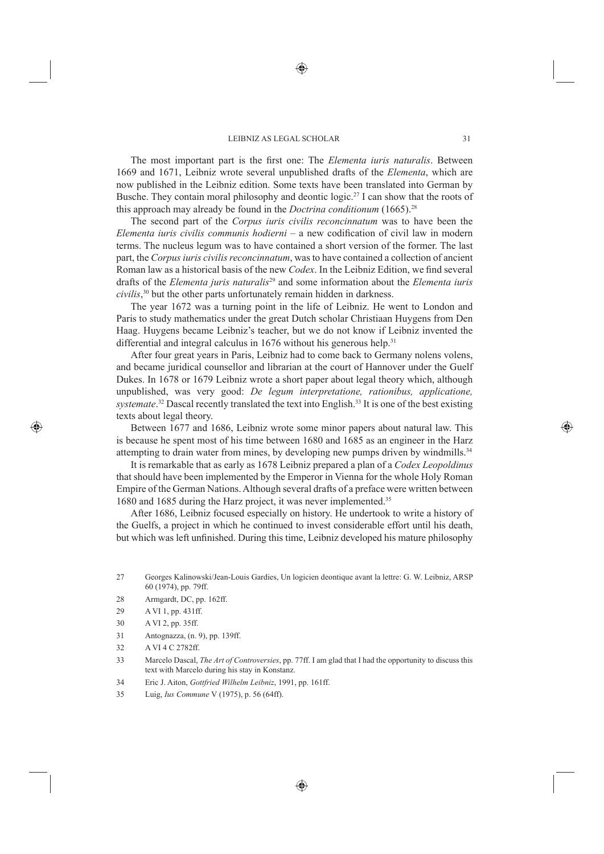The most important part is the first one: The *Elementa iuris naturalis*. Between 1669 and 1671, Leibniz wrote several unpublished drafts of the *Elementa*, which are now published in the Leibniz edition. Some texts have been translated into German by Busche. They contain moral philosophy and deontic logic.<sup>27</sup> I can show that the roots of this approach may already be found in the *Doctrina conditionum* (1665).28

The second part of the *Corpus iuris civilis reconcinnatum* was to have been the *Elementa iuris civilis communis hodierni* – a new codification of civil law in modern terms. The nucleus legum was to have contained a short version of the former. The last part, the *Corpus iuris civilis reconcinnatum*, was to have contained a collection of ancient Roman law as a historical basis of the new *Codex*. In the Leibniz Edition, we find several drafts of the *Elementa juris naturalis*29 and some information about the *Elementa iuris civilis*, 30 but the other parts unfortunately remain hidden in darkness.

The year 1672 was a turning point in the life of Leibniz. He went to London and Paris to study mathematics under the great Dutch scholar Christiaan Huygens from Den Haag. Huygens became Leibniz's teacher, but we do not know if Leibniz invented the differential and integral calculus in  $1676$  without his generous help.<sup>31</sup>

After four great years in Paris, Leibniz had to come back to Germany nolens volens, and became juridical counsellor and librarian at the court of Hannover under the Guelf Dukes. In 1678 or 1679 Leibniz wrote a short paper about legal theory which, although unpublished, was very good: *De legum interpretatione, rationibus, applicatione,*  systemate.<sup>32</sup> Dascal recently translated the text into English.<sup>33</sup> It is one of the best existing texts about legal theory.

Between 1677 and 1686, Leibniz wrote some minor papers about natural law. This is because he spent most of his time between 1680 and 1685 as an engineer in the Harz attempting to drain water from mines, by developing new pumps driven by windmills.<sup>34</sup>

It is remarkable that as early as 1678 Leibniz prepared a plan of a *Codex Leopoldinus* that should have been implemented by the Emperor in Vienna for the whole Holy Roman Empire of the German Nations. Although several drafts of a preface were written between 1680 and 1685 during the Harz project, it was never implemented.35

After 1686, Leibniz focused especially on history. He undertook to write a history of the Guelfs, a project in which he continued to invest considerable effort until his death, but which was left unfinished. During this time, Leibniz developed his mature philosophy

- 28 Armgardt, DC, pp. 162ff.
- 29 A VI 1, pp. 431ff.
- 30 A VI 2, pp. 35ff.
- 31 Antognazza, (n. 9), pp. 139ff.
- 32 A VI 4 C 2782ff.
- 33 Marcelo Dascal, *The Art of Controversies*, pp. 77ff. I am glad that I had the opportunity to discuss this text with Marcelo during his stay in Konstanz.
- 34 Eric J. Aiton, *Gottfried Wilhelm Leibniz*, 1991, pp. 161ff.
- 35 Luig, *Ius Commune* V (1975), p. 56 (64ff).

<sup>27</sup> Georges Kalinowski/Jean-Louis Gardies, Un logicien deontique avant la lettre: G. W. Leibniz, ARSP 60 (1974), pp. 79ff.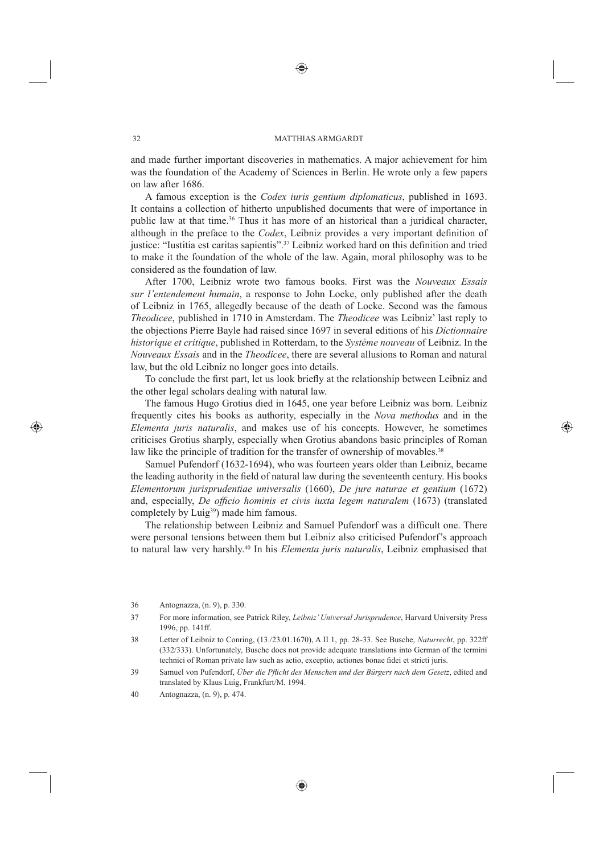#### 32 MATTHIAS ARMGARDT

and made further important discoveries in mathematics. A major achievement for him was the foundation of the Academy of Sciences in Berlin. He wrote only a few papers on law after 1686.

A famous exception is the *Codex iuris gentium diplomaticus*, published in 1693. It contains a collection of hitherto unpublished documents that were of importance in public law at that time.36 Thus it has more of an historical than a juridical character, although in the preface to the *Codex*, Leibniz provides a very important definition of justice: "Iustitia est caritas sapientis".<sup>37</sup> Leibniz worked hard on this definition and tried to make it the foundation of the whole of the law. Again, moral philosophy was to be considered as the foundation of law.

After 1700, Leibniz wrote two famous books. First was the *Nouveaux Essais sur l'entendement humain*, a response to John Locke, only published after the death of Leibniz in 1765, allegedly because of the death of Locke. Second was the famous *Theodicee*, published in 1710 in Amsterdam. The *Theodicee* was Leibniz' last reply to the objections Pierre Bayle had raised since 1697 in several editions of his *Dictionnaire historique et critique*, published in Rotterdam, to the *Système nouveau* of Leibniz. In the *Nouveaux Essais* and in the *Theodicee*, there are several allusions to Roman and natural law, but the old Leibniz no longer goes into details.

To conclude the first part, let us look briefly at the relationship between Leibniz and the other legal scholars dealing with natural law.

The famous Hugo Grotius died in 1645, one year before Leibniz was born. Leibniz frequently cites his books as authority, especially in the *Nova methodus* and in the *Elementa juris naturalis*, and makes use of his concepts. However, he sometimes criticises Grotius sharply, especially when Grotius abandons basic principles of Roman law like the principle of tradition for the transfer of ownership of movables.<sup>38</sup>

Samuel Pufendorf (1632-1694), who was fourteen years older than Leibniz, became the leading authority in the field of natural law during the seventeenth century. His books *Elementorum jurisprudentiae universalis* (1660), *De jure naturae et gentium* (1672) and, especially, *De officio hominis et civis iuxta legem naturalem* (1673) (translated completely by Luig<sup>39</sup>) made him famous.

The relationship between Leibniz and Samuel Pufendorf was a difficult one. There were personal tensions between them but Leibniz also criticised Pufendorf's approach to natural law very harshly.40 In his *Elementa juris naturalis*, Leibniz emphasised that

38 Letter of Leibniz to Conring, (13./23.01.1670), A II 1, pp. 28-33. See Busche, *Naturrecht*, pp. 322ff (332/333). Unfortunately, Busche does not provide adequate translations into German of the termini technici of Roman private law such as actio, exceptio, actiones bonae fidei et stricti juris.

<sup>36</sup> Antognazza, (n. 9), p. 330.

<sup>37</sup> For more information, see Patrick Riley, *Leibniz' Universal Jurisprudence*, Harvard University Press 1996, pp. 141ff.

<sup>39</sup> Samuel von Pufendorf, *Über die Pflicht des Menschen und des Bürgers nach dem Gesetz*, edited and translated by Klaus Luig, Frankfurt/M. 1994.

<sup>40</sup> Antognazza, (n. 9), p. 474.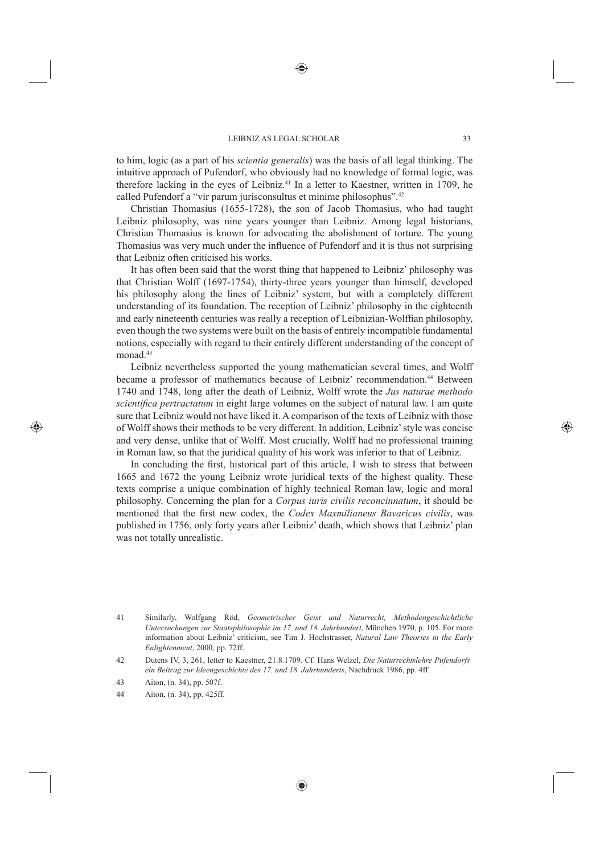to him, logic (as a part of his *scientia generalis*) was the basis of all legal thinking. The intuitive approach of Pufendorf, who obviously had no knowledge of formal logic, was therefore lacking in the eyes of Leibniz.<sup>41</sup> In a letter to Kaestner, written in 1709, he called Pufendorf a "vir parum jurisconsultus et minime philosophus".42

Christian Thomasius (1655-1728), the son of Jacob Thomasius, who had taught Leibniz philosophy, was nine years younger than Leibniz. Among legal historians, Christian Thomasius is known for advocating the abolishment of torture. The young Thomasius was very much under the influence of Pufendorf and it is thus not surprising that Leibniz often criticised his works.

It has often been said that the worst thing that happened to Leibniz' philosophy was that Christian Wolff (1697-1754), thirty-three years younger than himself, developed his philosophy along the lines of Leibniz' system, but with a completely different understanding of its foundation. The reception of Leibniz' philosophy in the eighteenth and early nineteenth centuries was really a reception of Leibnizian-Wolffian philosophy, even though the two systems were built on the basis of entirely incompatible fundamental notions, especially with regard to their entirely different understanding of the concept of monad<sup>43</sup>

Leibniz nevertheless supported the young mathematician several times, and Wolff became a professor of mathematics because of Leibniz' recommendation.44 Between 1740 and 1748, long after the death of Leibniz, Wolff wrote the *Jus naturae methodo scientifica pertractatum* in eight large volumes on the subject of natural law. I am quite sure that Leibniz would not have liked it. A comparison of the texts of Leibniz with those of Wolff shows their methods to be very different. In addition, Leibniz' style was concise and very dense, unlike that of Wolff. Most crucially, Wolff had no professional training in Roman law, so that the juridical quality of his work was inferior to that of Leibniz.

In concluding the first, historical part of this article, I wish to stress that between 1665 and 1672 the young Leibniz wrote juridical texts of the highest quality. These texts comprise a unique combination of highly technical Roman law, logic and moral philosophy. Concerning the plan for a *Corpus iuris civilis reconcinnatum*, it should be mentioned that the first new codex, the *Codex Maxmilianeus Bavaricus civilis*, was published in 1756, only forty years after Leibniz' death, which shows that Leibniz' plan was not totally unrealistic.

<sup>41</sup> Similarly, Wolfgang Röd, *Geometrischer Geist und Naturrecht, Methodengeschichtliche Untersuchungen zur Staatsphilosophie im 17. und 18. Jahrhundert*, München 1970, p. 105. For more information about Leibniz' criticism, see Tim J. Hochstrasser, *Natural Law Theories in the Early Enlightenment*, 2000, pp. 72ff.

<sup>42</sup> Dutens IV, 3, 261, letter to Kaestner, 21.8.1709. Cf. Hans Welzel, *Die Naturrechtslehre Pufendorfs ein Beitrag zur Ideengeschichte des 17. und 18. Jahrhunderts*, Nachdruck 1986, pp. 4ff.

<sup>43</sup> Aiton, (n. 34), pp. 507f.

<sup>44</sup> Aiton, (n. 34), pp. 425ff.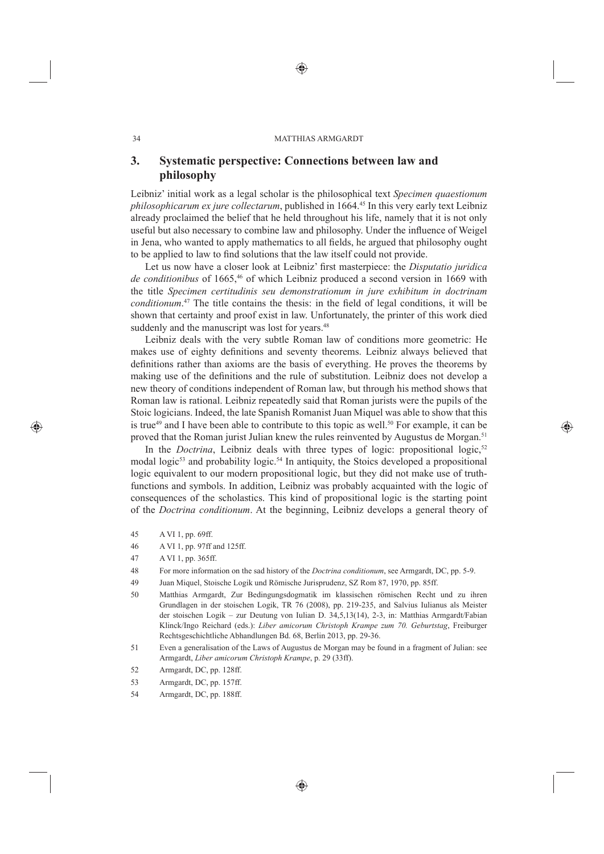## **3. Systematic perspective: Connections between law and philosophy**

Leibniz' initial work as a legal scholar is the philosophical text *Specimen quaestionum philosophicarum ex jure collectarum*, published in 1664.45 In this very early text Leibniz already proclaimed the belief that he held throughout his life, namely that it is not only useful but also necessary to combine law and philosophy. Under the influence of Weigel in Jena, who wanted to apply mathematics to all fields, he argued that philosophy ought to be applied to law to find solutions that the law itself could not provide.

Let us now have a closer look at Leibniz' first masterpiece: the *Disputatio juridica de conditionibus* of 1665,46 of which Leibniz produced a second version in 1669 with the title *Specimen certitudinis seu demonstrationum in jure exhibitum in doctrinam conditionum*.<sup>47</sup> The title contains the thesis: in the field of legal conditions, it will be shown that certainty and proof exist in law. Unfortunately, the printer of this work died suddenly and the manuscript was lost for years.<sup>48</sup>

Leibniz deals with the very subtle Roman law of conditions more geometric: He makes use of eighty definitions and seventy theorems. Leibniz always believed that definitions rather than axioms are the basis of everything. He proves the theorems by making use of the definitions and the rule of substitution. Leibniz does not develop a new theory of conditions independent of Roman law, but through his method shows that Roman law is rational. Leibniz repeatedly said that Roman jurists were the pupils of the Stoic logicians. Indeed, the late Spanish Romanist Juan Miquel was able to show that this is true<sup>49</sup> and I have been able to contribute to this topic as well.<sup>50</sup> For example, it can be proved that the Roman jurist Julian knew the rules reinvented by Augustus de Morgan.51

In the *Doctrina*, Leibniz deals with three types of logic: propositional logic,<sup>52</sup> modal logic<sup>53</sup> and probability logic.<sup>54</sup> In antiquity, the Stoics developed a propositional logic equivalent to our modern propositional logic, but they did not make use of truthfunctions and symbols. In addition, Leibniz was probably acquainted with the logic of consequences of the scholastics. This kind of propositional logic is the starting point of the *Doctrina conditionum*. At the beginning, Leibniz develops a general theory of

- 45 A VI 1, pp. 69ff.
- 46 A VI 1, pp. 97ff and 125ff.
- 47 A VI 1, pp. 365ff.
- 48 For more information on the sad history of the *Doctrina conditionum*, see Armgardt, DC, pp. 5-9.
- 49 Juan Miquel, Stoische Logik und Römische Jurisprudenz, SZ Rom 87, 1970, pp. 85ff.
- 50 Matthias Armgardt, Zur Bedingungsdogmatik im klassischen römischen Recht und zu ihren Grundlagen in der stoischen Logik, TR 76 (2008), pp. 219-235, and Salvius Iulianus als Meister der stoischen Logik – zur Deutung von Iulian D. 34,5,13(14), 2-3, in: Matthias Armgardt/Fabian Klinck/Ingo Reichard (eds.): *Liber amicorum Christoph Krampe zum 70. Geburtstag*, Freiburger Rechtsgeschichtliche Abhandlungen Bd. 68, Berlin 2013, pp. 29-36.
- 51 Even a generalisation of the Laws of Augustus de Morgan may be found in a fragment of Julian: see Armgardt, *Liber amicorum Christoph Krampe*, p. 29 (33ff).
- 52 Armgardt, DC, pp. 128ff.
- 53 Armgardt, DC, pp. 157ff.
- 54 Armgardt, DC, pp. 188ff.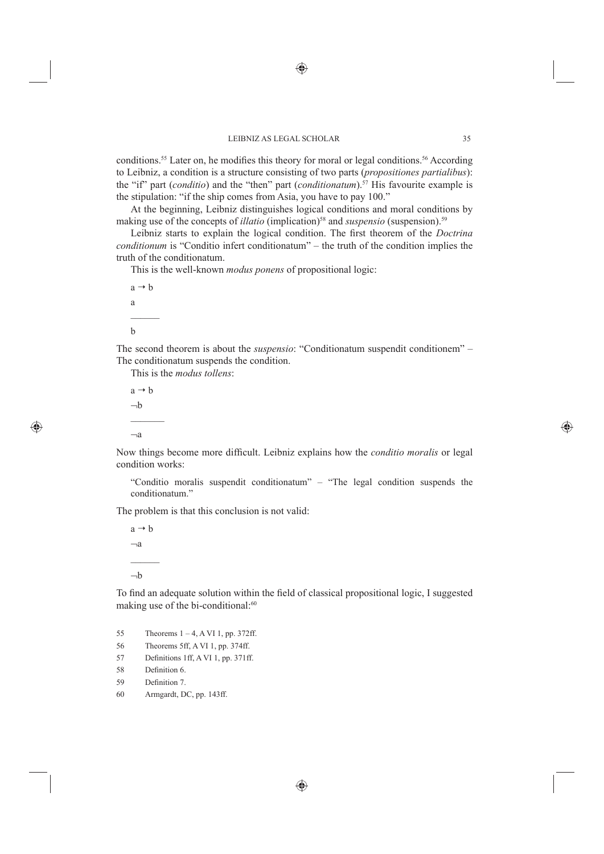conditions.<sup>55</sup> Later on, he modifies this theory for moral or legal conditions.<sup>56</sup> According to Leibniz, a condition is a structure consisting of two parts (*propositiones partialibus*): the "if" part (*conditio*) and the "then" part (*conditionatum*).57 His favourite example is the stipulation: "if the ship comes from Asia, you have to pay 100."

At the beginning, Leibniz distinguishes logical conditions and moral conditions by making use of the concepts of *illatio* (implication)<sup>58</sup> and *suspensio* (suspension).<sup>59</sup>

Leibniz starts to explain the logical condition. The first theorem of the *Doctrina conditionum* is "Conditio infert conditionatum" – the truth of the condition implies the truth of the conditionatum.

This is the well-known *modus ponens* of propositional logic:

 $a \rightarrow b$ a b

The second theorem is about the *suspensio*: "Conditionatum suspendit conditionem" – The conditionatum suspends the condition.

This is the *modus tollens*:

 $a \rightarrow b$  $-h$  $-a$ 

Now things become more difficult. Leibniz explains how the *conditio moralis* or legal condition works:

"Conditio moralis suspendit conditionatum" – "The legal condition suspends the conditionatum."

The problem is that this conclusion is not valid:

 $a \rightarrow b$  $-a$  $\mathcal{L}_\text{max}$  $-h$ 

To find an adequate solution within the field of classical propositional logic, I suggested making use of the bi-conditional:<sup>60</sup>

- 55 Theorems  $1 4$ , A VI 1, pp. 372ff.
- 56 Theorems 5ff, A VI 1, pp. 374ff.
- 57 Definitions 1ff, A VI 1, pp. 371ff.
- 58 Definition 6.
- 59 Definition 7.
- 60 Armgardt, DC, pp. 143ff.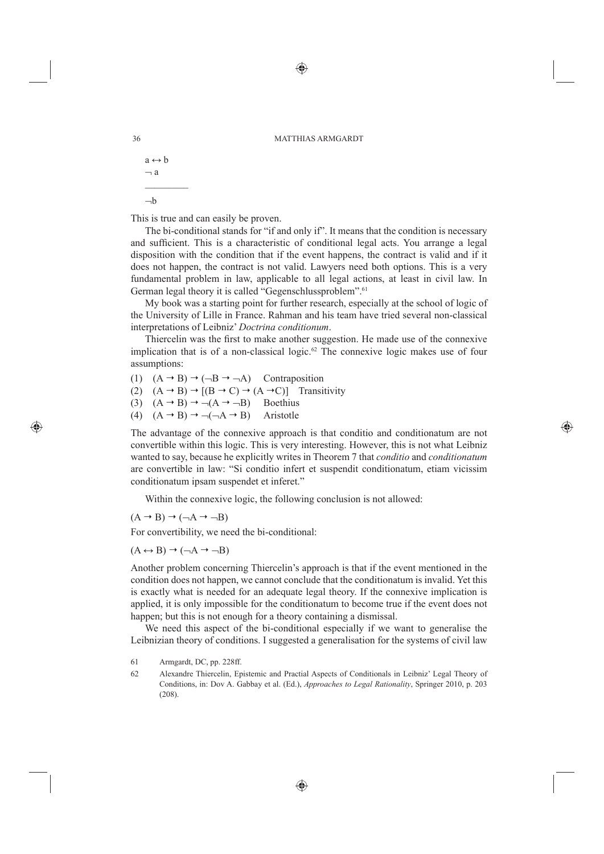```
a \leftrightarrow b\overline{\phantom{a}} a
\mathcal{L}_\text{max}-h
```
This is true and can easily be proven.

The bi-conditional stands for "if and only if". It means that the condition is necessary and sufficient. This is a characteristic of conditional legal acts. You arrange a legal disposition with the condition that if the event happens, the contract is valid and if it does not happen, the contract is not valid. Lawyers need both options. This is a very fundamental problem in law, applicable to all legal actions, at least in civil law. In German legal theory it is called "Gegenschlussproblem".<sup>61</sup>

My book was a starting point for further research, especially at the school of logic of the University of Lille in France. Rahman and his team have tried several non-classical interpretations of Leibniz' *Doctrina conditionum*.

Thiercelin was the first to make another suggestion. He made use of the connexive implication that is of a non-classical logic.<sup>62</sup> The connexive logic makes use of four assumptions:

(1)  $(A \rightarrow B) \rightarrow (\neg B \rightarrow \neg A)$  Contraposition

(2)  $(A \rightarrow B) \rightarrow [(B \rightarrow C) \rightarrow (A \rightarrow C)]$  Transitivity

(3)  $(A \rightarrow B) \rightarrow \neg (A \rightarrow \neg B)$  Boethius

(4)  $(A \rightarrow B) \rightarrow \neg(\neg A \rightarrow B)$  Aristotle

The advantage of the connexive approach is that conditio and conditionatum are not convertible within this logic. This is very interesting. However, this is not what Leibniz wanted to say, because he explicitly writes in Theorem 7 that *conditio* and *conditionatum* are convertible in law: "Si conditio infert et suspendit conditionatum, etiam vicissim conditionatum ipsam suspendet et inferet."

Within the connexive logic, the following conclusion is not allowed:

 $(A \rightarrow B) \rightarrow (\neg A \rightarrow \neg B)$ 

For convertibility, we need the bi-conditional:

 $(A \leftrightarrow B) \rightarrow (\neg A \rightarrow \neg B)$ 

Another problem concerning Thiercelin's approach is that if the event mentioned in the condition does not happen, we cannot conclude that the conditionatum is invalid. Yet this is exactly what is needed for an adequate legal theory. If the connexive implication is applied, it is only impossible for the conditionatum to become true if the event does not happen; but this is not enough for a theory containing a dismissal.

We need this aspect of the bi-conditional especially if we want to generalise the Leibnizian theory of conditions. I suggested a generalisation for the systems of civil law

- 61 Armgardt, DC, pp. 228ff.
- 62 Alexandre Thiercelin, Epistemic and Practial Aspects of Conditionals in Leibniz' Legal Theory of Conditions, in: Dov A. Gabbay et al. (Ed.), *Approaches to Legal Rationality*, Springer 2010, p. 203 (208).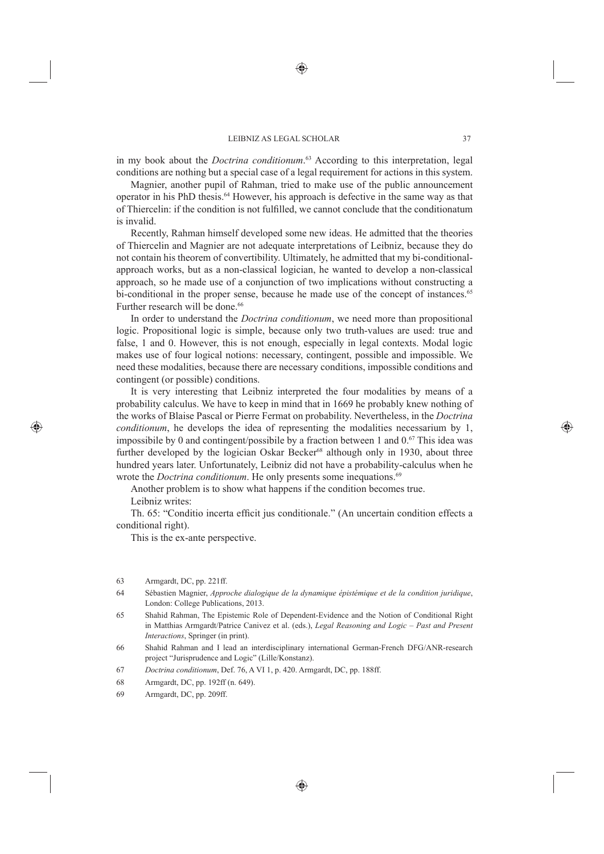in my book about the *Doctrina conditionum*. 63 According to this interpretation, legal conditions are nothing but a special case of a legal requirement for actions in this system.

Magnier, another pupil of Rahman, tried to make use of the public announcement operator in his PhD thesis.64 However, his approach is defective in the same way as that of Thiercelin: if the condition is not fulfi lled, we cannot conclude that the conditionatum is invalid.

Recently, Rahman himself developed some new ideas. He admitted that the theories of Thiercelin and Magnier are not adequate interpretations of Leibniz, because they do not contain his theorem of convertibility. Ultimately, he admitted that my bi-conditionalapproach works, but as a non-classical logician, he wanted to develop a non-classical approach, so he made use of a conjunction of two implications without constructing a bi-conditional in the proper sense, because he made use of the concept of instances.<sup>65</sup> Further research will be done.<sup>66</sup>

In order to understand the *Doctrina conditionum*, we need more than propositional logic. Propositional logic is simple, because only two truth-values are used: true and false, 1 and 0. However, this is not enough, especially in legal contexts. Modal logic makes use of four logical notions: necessary, contingent, possible and impossible. We need these modalities, because there are necessary conditions, impossible conditions and contingent (or possible) conditions.

It is very interesting that Leibniz interpreted the four modalities by means of a probability calculus. We have to keep in mind that in 1669 he probably knew nothing of the works of Blaise Pascal or Pierre Fermat on probability. Nevertheless, in the *Doctrina conditionum*, he develops the idea of representing the modalities necessarium by 1, impossibile by 0 and contingent/possibile by a fraction between 1 and  $0.67$  This idea was further developed by the logician Oskar Becker<sup>68</sup> although only in 1930, about three hundred years later. Unfortunately, Leibniz did not have a probability-calculus when he wrote the *Doctrina conditionum*. He only presents some inequations.<sup>69</sup>

Another problem is to show what happens if the condition becomes true. Leibniz writes:

Th. 65: "Conditio incerta efficit jus conditionale." (An uncertain condition effects a conditional right).

This is the ex-ante perspective.

- 63 Armgardt, DC, pp. 221ff.
- 64 Sébastien Magnier, *Approche dialogique de la dynamique épistémique et de la condition juridique*, London: College Publications, 2013.
- 65 Shahid Rahman, The Epistemic Role of Dependent-Evidence and the Notion of Conditional Right in Matthias Armgardt/Patrice Canivez et al. (eds.), *Legal Reasoning and Logic – Past and Present Interactions*, Springer (in print).
- 66 Shahid Rahman and I lead an interdisciplinary international German-French DFG/ANR-research project "Jurisprudence and Logic" (Lille/Konstanz).
- 67 *Doctrina conditionum*, Def. 76, A VI 1, p. 420. Armgardt, DC, pp. 188ff.
- 68 Armgardt, DC, pp. 192ff (n. 649).
- 69 Armgardt, DC, pp. 209ff.